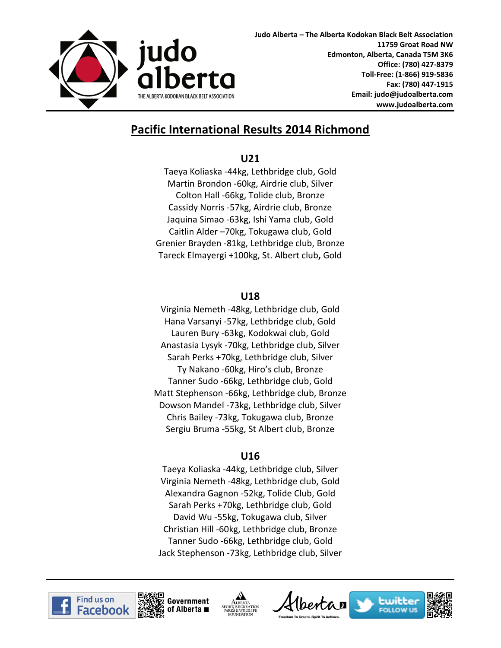

# **Pacific International Results 2014 Richmond**

#### **U21**

Taeya Koliaska -44kg, Lethbridge club, Gold Martin Brondon -60kg, Airdrie club, Silver Colton Hall -66kg, Tolide club, Bronze Cassidy Norris -57kg, Airdrie club, Bronze Jaquina Simao -63kg, Ishi Yama club, Gold Caitlin Alder –70kg, Tokugawa club, Gold Grenier Brayden -81kg, Lethbridge club, Bronze Tareck Elmayergi +100kg, St. Albert club**,** Gold

#### **U18**

Virginia Nemeth -48kg, Lethbridge club, Gold Hana Varsanyi -57kg, Lethbridge club, Gold Lauren Bury -63kg, Kodokwai club, Gold Anastasia Lysyk -70kg, Lethbridge club, Silver Sarah Perks +70kg, Lethbridge club, Silver Ty Nakano -60kg, Hiro's club, Bronze Tanner Sudo -66kg, Lethbridge club, Gold Matt Stephenson -66kg, Lethbridge club, Bronze Dowson Mandel -73kg, Lethbridge club, Silver Chris Bailey -73kg, Tokugawa club, Bronze Sergiu Bruma -55kg, St Albert club, Bronze

### **U16**

Taeya Koliaska -44kg, Lethbridge club, Silver Virginia Nemeth -48kg, Lethbridge club, Gold Alexandra Gagnon -52kg, Tolide Club, Gold Sarah Perks +70kg, Lethbridge club, Gold David Wu -55kg, Tokugawa club, Silver Christian Hill -60kg, Lethbridge club, Bronze Tanner Sudo -66kg, Lethbridge club, Gold Jack Stephenson -73kg, Lethbridge club, Silver